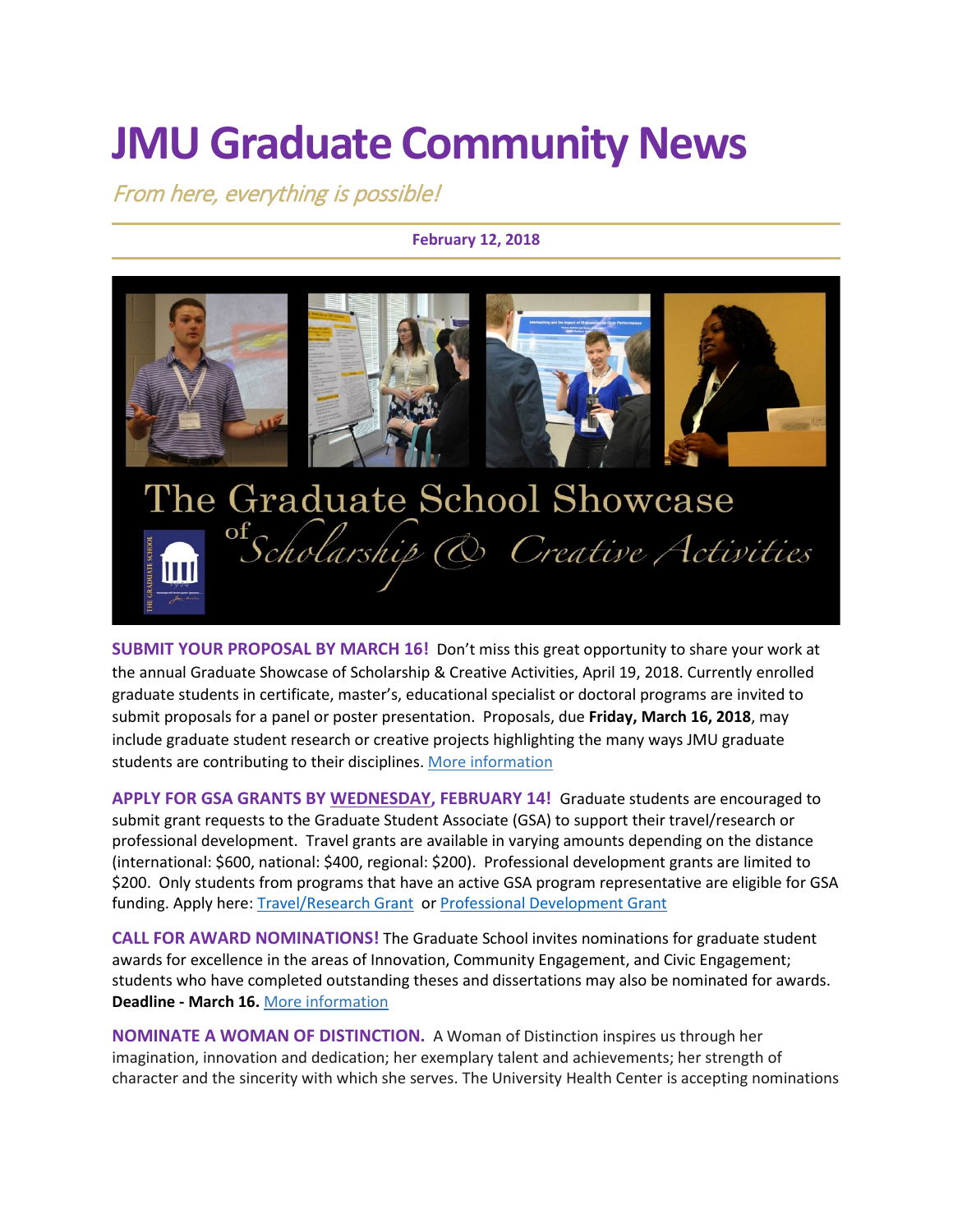# **JMU Graduate Community News**

From here, everything is possible!

**February 12, 2018**



**SUBMIT YOUR PROPOSAL BY MARCH 16!** Don't miss this great opportunity to share your work at the annual Graduate Showcase of Scholarship & Creative Activities, April 19, 2018. Currently enrolled graduate students in certificate, master's, educational specialist or doctoral programs are invited to submit proposals for a panel or poster presentation. Proposals, due **Friday, March 16, 2018**, may include graduate student research or creative projects highlighting the many ways JMU graduate students are contributing to their disciplines. [More information](https://www.jmu.edu/grad/GraduateShowcase/proposals-wanted.shtml)

**APPLY FOR GSA GRANTS BY WEDNESDAY, FEBRUARY 14!** Graduate students are encouraged to submit grant requests to the Graduate Student Associate (GSA) to support their travel/research or professional development. Travel grants are available in varying amounts depending on the distance (international: \$600, national: \$400, regional: \$200). Professional development grants are limited to \$200. Only students from programs that have an active GSA program representative are eligible for GSA funding. Apply here: [Travel/Research Grant](https://goo.gl/forms/ZQHjnUyMvbJvzWyn2) or [Professional Development Grant](https://goo.gl/forms/ZeVSj3kfBBHKyjVL2)

**CALL FOR AWARD NOMINATIONS!** The Graduate School invites nominations for graduate student awards for excellence in the areas of Innovation, Community Engagement, and Civic Engagement; students who have completed outstanding theses and dissertations may also be nominated for awards. **Deadline - March 16.** [More information](https://www.jmu.edu/grad/GraduateShowcase/nominations.shtml)

**NOMINATE A WOMAN OF DISTINCTION.** A Woman of Distinction inspires us through her imagination, innovation and dedication; her exemplary talent and achievements; her strength of character and the sincerity with which she serves. The University Health Center is accepting nominations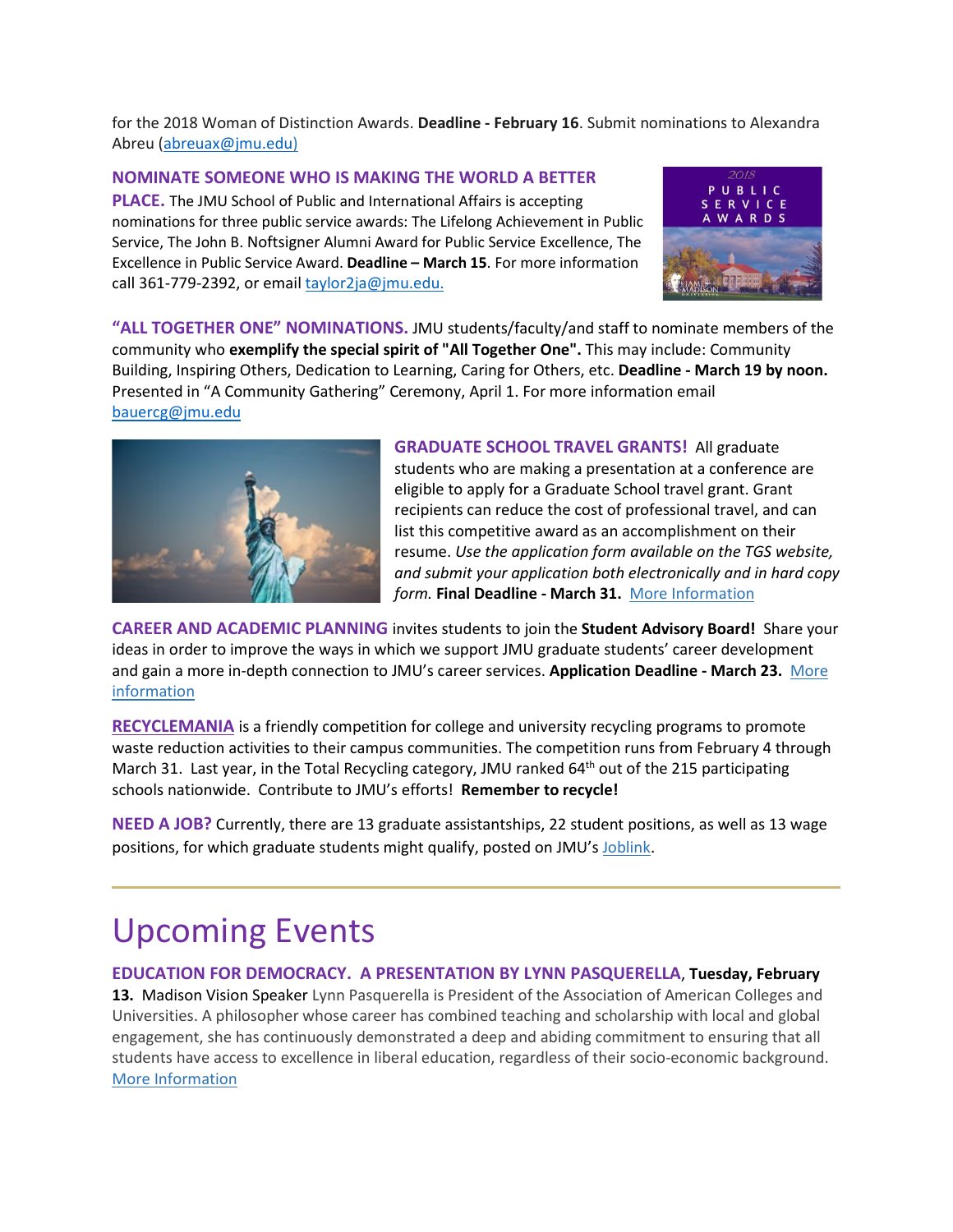for the 2018 Woman of Distinction Awards. **Deadline - February 16**. Submit nominations to Alexandra Abreu [\(abreuax@jmu.edu\)](mailto:abreuax@jmu.edu)

#### **NOMINATE SOMEONE WHO IS MAKING THE WORLD A BETTER**

**PLACE.** The JMU School of Public and International Affairs is accepting nominations for three public service awards: The Lifelong Achievement in Public Service, The John B. Noftsigner Alumni Award for Public Service Excellence, The Excellence in Public Service Award. **Deadline – March 15**. For more information call 361-779-2392, or email [taylor2ja@jmu.edu.](mailto:taylor2ja@jmu.edu)



**"ALL TOGETHER ONE" NOMINATIONS.** JMU students/faculty/and staff to nominate members of the community who **exemplify the special spirit of "All Together One".** This may include: Community Building, Inspiring Others, Dedication to Learning, Caring for Others, etc. **Deadline - March 19 by noon.**  Presented in "A Community Gathering" Ceremony, April 1. For more information email [bauercg@jmu.edu](mailto:bauercg@jmu.edu)



**GRADUATE SCHOOL TRAVEL GRANTS!** All graduate students who are making a presentation at a conference are eligible to apply for a Graduate School travel grant. Grant recipients can reduce the cost of professional travel, and can list this competitive award as an accomplishment on their resume. *Use the application form available on the TGS website, and submit your application both electronically and in hard copy form.* **Final Deadline - March 31.** [More Information](http://www.jmu.edu/grad/current-students/awards-grants/travel-grants.shtml)

**CAREER AND ACADEMIC PLANNING** invites students to join the **Student Advisory Board!** Share your ideas in order to improve the ways in which we support JMU graduate students' career development and gain a more in-depth connection to JMU's career services. **Application Deadline - March 23.** [More](https://www.jmu.edu/cap/studentadvisoryboard/index.shtml)  [information](https://www.jmu.edu/cap/studentadvisoryboard/index.shtml)

**[RECYCLEMANIA](https://recyclemania.org/)** is a friendly competition for college and university recycling programs to promote waste reduction activities to their campus communities. The competition runs from February 4 through March 31. Last year, in the Total Recycling category, JMU ranked 64<sup>th</sup> out of the 215 participating schools nationwide. Contribute to JMU's efforts! **Remember to recycle!**

**NEED A JOB?** Currently, there are 13 graduate assistantships, 22 student positions, as well as 13 wage positions, for which graduate students might qualify, posted on JMU's [Joblink.](https://joblink.jmu.edu/)

### Upcoming Events

#### **EDUCATION FOR DEMOCRACY. A PRESENTATION BY LYNN PASQUERELLA**, **Tuesday, February**

**13.** Madison Vision Speaker Lynn Pasquerella is President of the Association of American Colleges and Universities. A philosopher whose career has combined teaching and scholarship with local and global engagement, she has continuously demonstrated a deep and abiding commitment to ensuring that all students have access to excellence in liberal education, regardless of their socio-economic background. [More Information](http://www.jmu.edu/events/president/2018/02/MVS-Pasquerella.shtml)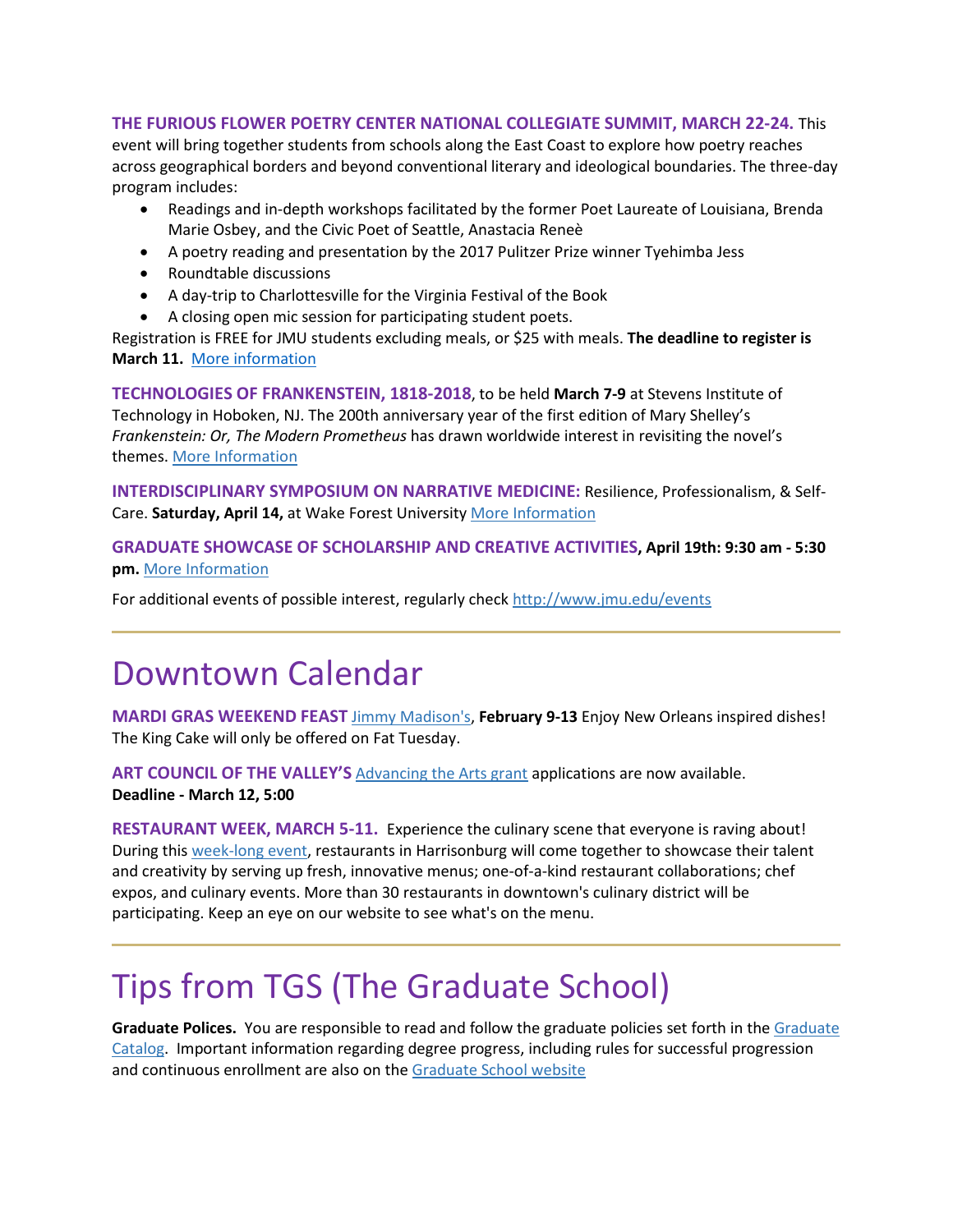#### **THE FURIOUS FLOWER POETRY CENTER NATIONAL COLLEGIATE SUMMIT, MARCH 22-24.** This

event will bring together students from schools along the East Coast to explore how poetry reaches across geographical borders and beyond conventional literary and ideological boundaries. The three-day program includes:

- Readings and in-depth workshops facilitated by the former Poet Laureate of Louisiana, Brenda Marie Osbey, and the Civic Poet of Seattle, Anastacia Reneè
- A poetry reading and presentation by the 2017 Pulitzer Prize winner Tyehimba Jess
- Roundtable discussions
- A day-trip to Charlottesville for the Virginia Festival of the Book
- A closing open mic session for participating student poets.

Registration is FREE for JMU students excluding meals, or \$25 with meals. **The deadline to register is March 11.** [More information](http://www.jmu.edu/furiousflower/collegiate-summit/)

**TECHNOLOGIES OF FRANKENSTEIN, 1818-2018**, to be held **March 7-9** at Stevens Institute of Technology in Hoboken, NJ. The 200th anniversary year of the first edition of Mary Shelley's *Frankenstein: Or, The Modern Prometheus* has drawn worldwide interest in revisiting the novel's themes. [More Information](http://frankenstein2018.org/)

**INTERDISCIPLINARY SYMPOSIUM ON NARRATIVE MEDICINE:** Resilience, Professionalism, & Self-Care. **Saturday, April 14,** at Wake Forest University [More Information](http://humanitiesinstitute.wfu.edu/programming/nmsym?utm_source=SHH+Newsletter+Spring+2018&utm_campaign=SHH+Newsletter+Spring+2018&utm_medium=email) 

**GRADUATE SHOWCASE OF SCHOLARSHIP AND CREATIVE ACTIVITIES, April 19th: 9:30 am - 5:30 pm.** [More Information](https://www.jmu.edu/grad/GraduateShowcase/proposals-wanted.shtml)

For additional events of possible interest, regularly check<http://www.jmu.edu/events>

### Downtown Calendar

**MARDI GRAS WEEKEND FEAST** [Jimmy Madison's,](http://www.jimmymadisons.com/) **February 9-13** Enjoy New Orleans inspired dishes! The King Cake will only be offered on Fat Tuesday.

ART COUNCIL OF THE VALLEY'S **[Advancing the Arts grant](http://www.valleyarts.org/advancing-the-arts-grants) applications are now available. Deadline - March 12, 5:00**

**RESTAURANT WEEK, MARCH 5-11.** Experience the culinary scene that everyone is raving about! During this [week-long event,](https://urldefense.proofpoint.com/v2/url?u=https-3A__downtownharrisonburg.us11.list-2Dmanage.com_track_click-3Fu-3Df8d978a0dce2adbe88395ef82-26id-3Dd15a33d3a4-26e-3D1f4d635f6f&d=DwMFaQ&c=eLbWYnpnzycBCgmb7vCI4uqNEB9RSjOdn_5nBEmmeq0&r=WMqMWf1eH1PYoTSc_U2gXQ&m=0KyOORAfQ58b5Y5ahhgIqX6xcXmTaazH1b0Oo-8ZskQ&s=b6hfT3-MByAm9tHl7mfCuI92KPjtBAR3Y_wfeQlT1WA&e=) restaurants in Harrisonburg will come together to showcase their talent and creativity by serving up fresh, innovative menus; one-of-a-kind restaurant collaborations; chef expos, and culinary events. More than 30 restaurants in downtown's culinary district will be participating. Keep an eye on our website to see what's on the menu.

## Tips from TGS (The Graduate School)

**Graduate Polices.** You are responsible to read and follow the graduate policies set forth in th[e Graduate](http://jmu.edu/catalog)  [Catalog.](http://jmu.edu/catalog) Important information regarding degree progress, including rules for successful progression and continuous enrollment are also on the [Graduate School website](http://www.jmu.edu/grad/current-students/degree-progress/beginning.shtml)